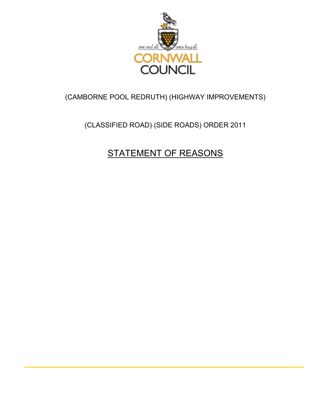

### (CAMBORNE POOL REDRUTH) (HIGHWAY IMPROVEMENTS)

### (CLASSIFIED ROAD) (SIDE ROADS) ORDER 2011

# STATEMENT OF REASONS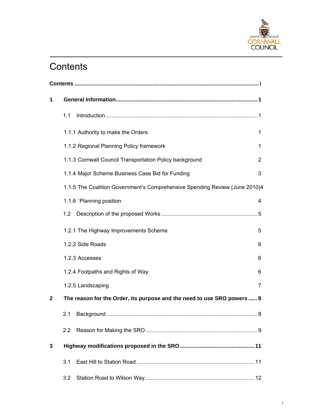

# **Contents**

| 1            |                                                                             |                |  |  |
|--------------|-----------------------------------------------------------------------------|----------------|--|--|
|              | 1.1                                                                         |                |  |  |
|              | 1.1.1 Authority to make the Orders                                          | 1              |  |  |
|              | 1.1.2 Regional Planning Policy framework                                    | 1              |  |  |
|              | 1.1.3 Cornwall Council Transportation Policy background                     | $\overline{2}$ |  |  |
|              | 1.1.4 Major Scheme Business Case Bid for Funding                            | 3              |  |  |
|              | 1.1.5 The Coalition Government's Comprehensive Spending Review (June 2010)4 |                |  |  |
|              | 1.1.6 `Planning position                                                    | 4              |  |  |
|              | $1.2\,$                                                                     |                |  |  |
|              | 1.2.1 The Highway Improvements Scheme                                       | 5              |  |  |
|              | 1.2.2 Side Roads                                                            | 6              |  |  |
|              | 1.2.3 Accesses                                                              | 6              |  |  |
|              | 1.2.4 Footpaths and Rights of Way                                           | 6              |  |  |
|              | 1.2.5 Landscaping                                                           | 7              |  |  |
| $\mathbf{2}$ | The reason for the Order, its purpose and the need to use SRO powers  8     |                |  |  |
|              | 2.1                                                                         |                |  |  |
|              | 2.2                                                                         |                |  |  |
| 3            |                                                                             |                |  |  |
|              | 3.1                                                                         |                |  |  |
|              | 3.2                                                                         |                |  |  |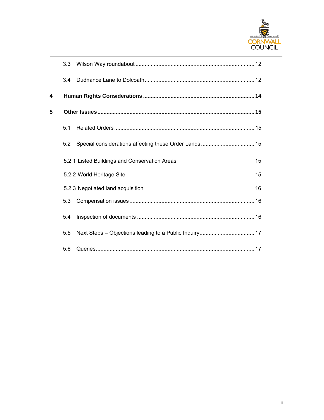

|   | 3.3 <sub>2</sub> |                                               |    |
|---|------------------|-----------------------------------------------|----|
|   | 3.4              |                                               |    |
| 4 |                  |                                               |    |
| 5 |                  |                                               |    |
|   | 5.1              |                                               |    |
|   | 5.2              |                                               |    |
|   |                  | 5.2.1 Listed Buildings and Conservation Areas | 15 |
|   |                  | 5.2.2 World Heritage Site<br>15               |    |
|   |                  | 5.2.3 Negotiated land acquisition             | 16 |
|   | 5.3              |                                               |    |
|   | 5.4              |                                               |    |
|   | 5.5              |                                               |    |
|   | 5.6              |                                               |    |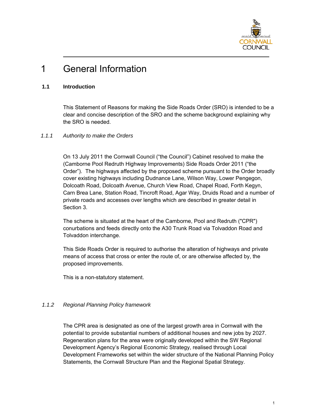

# 1 General Information

#### **1.1 Introduction**

This Statement of Reasons for making the Side Roads Order (SRO) is intended to be a clear and concise description of the SRO and the scheme background explaining why the SRO is needed.

#### *1.1.1 Authority to make the Orders*

On 13 July 2011 the Cornwall Council ("the Council") Cabinet resolved to make the (Camborne Pool Redruth Highway Improvements) Side Roads Order 2011 ("the Order"). The highways affected by the proposed scheme pursuant to the Order broadly cover existing highways including Dudnance Lane, Wilson Way, Lower Pengegon, Dolcoath Road, Dolcoath Avenue, Church View Road, Chapel Road, Forth Kegyn, Carn Brea Lane, Station Road, Tincroft Road, Agar Way, Druids Road and a number of private roads and accesses over lengths which are described in greater detail in Section 3.

The scheme is situated at the heart of the Camborne, Pool and Redruth ("CPR") conurbations and feeds directly onto the A30 Trunk Road via Tolvaddon Road and Tolvaddon interchange.

This Side Roads Order is required to authorise the alteration of highways and private means of access that cross or enter the route of, or are otherwise affected by, the proposed improvements.

This is a non-statutory statement.

#### *1.1.2 Regional Planning Policy framework*

The CPR area is designated as one of the largest growth area in Cornwall with the potential to provide substantial numbers of additional houses and new jobs by 2027. Regeneration plans for the area were originally developed within the SW Regional Development Agency's Regional Economic Strategy, realised through Local Development Frameworks set within the wider structure of the National Planning Policy Statements, the Cornwall Structure Plan and the Regional Spatial Strategy.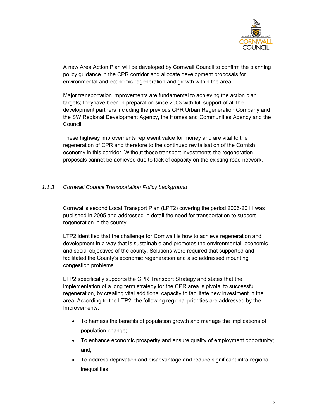

A new Area Action Plan will be developed by Cornwall Council to confirm the planning policy guidance in the CPR corridor and allocate development proposals for environmental and economic regeneration and growth within the area.

Major transportation improvements are fundamental to achieving the action plan targets; theyhave been in preparation since 2003 with full support of all the development partners including the previous CPR Urban Regeneration Company and the SW Regional Development Agency, the Homes and Communities Agency and the Council.

These highway improvements represent value for money and are vital to the regeneration of CPR and therefore to the continued revitalisation of the Cornish economy in this corridor. Without these transport investments the regeneration proposals cannot be achieved due to lack of capacity on the existing road network.

#### *1.1.3 Cornwall Council Transportation Policy background*

Cornwall's second Local Transport Plan (LPT2) covering the period 2006-2011 was published in 2005 and addressed in detail the need for transportation to support regeneration in the county.

LTP2 identified that the challenge for Cornwall is how to achieve regeneration and development in a way that is sustainable and promotes the environmental, economic and social objectives of the county. Solutions were required that supported and facilitated the County's economic regeneration and also addressed mounting congestion problems.

LTP2 specifically supports the CPR Transport Strategy and states that the implementation of a long term strategy for the CPR area is pivotal to successful regeneration, by creating vital additional capacity to facilitate new investment in the area. According to the LTP2, the following regional priorities are addressed by the Improvements:

- To harness the benefits of population growth and manage the implications of population change;
- To enhance economic prosperity and ensure quality of employment opportunity; and,
- To address deprivation and disadvantage and reduce significant intra-regional inequalities.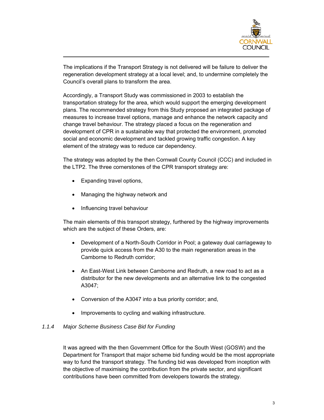

The implications if the Transport Strategy is not delivered will be failure to deliver the regeneration development strategy at a local level; and, to undermine completely the Council's overall plans to transform the area.

Accordingly, a Transport Study was commissioned in 2003 to establish the transportation strategy for the area, which would support the emerging development plans. The recommended strategy from this Study proposed an integrated package of measures to increase travel options, manage and enhance the network capacity and change travel behaviour. The strategy placed a focus on the regeneration and development of CPR in a sustainable way that protected the environment, promoted social and economic development and tackled growing traffic congestion. A key element of the strategy was to reduce car dependency.

The strategy was adopted by the then Cornwall County Council (CCC) and included in the LTP2. The three cornerstones of the CPR transport strategy are:

- Expanding travel options,
- Managing the highway network and
- Influencing travel behaviour

The main elements of this transport strategy, furthered by the highway improvements which are the subject of these Orders, are:

- Development of a North-South Corridor in Pool; a gateway dual carriageway to provide quick access from the A30 to the main regeneration areas in the Camborne to Redruth corridor;
- An East-West Link between Camborne and Redruth, a new road to act as a distributor for the new developments and an alternative link to the congested A3047;
- Conversion of the A3047 into a bus priority corridor; and,
- Improvements to cycling and walking infrastructure.

#### *1.1.4 Major Scheme Business Case Bid for Funding*

It was agreed with the then Government Office for the South West (GOSW) and the Department for Transport that major scheme bid funding would be the most appropriate way to fund the transport strategy. The funding bid was developed from inception with the objective of maximising the contribution from the private sector, and significant contributions have been committed from developers towards the strategy.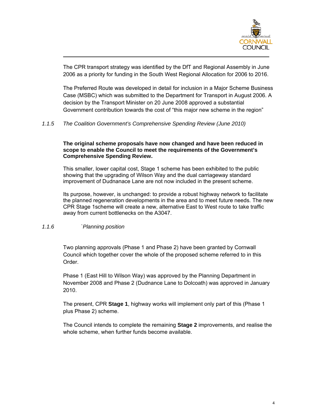

The CPR transport strategy was identified by the DfT and Regional Assembly in June 2006 as a priority for funding in the South West Regional Allocation for 2006 to 2016.

The Preferred Route was developed in detail for inclusion in a Major Scheme Business Case (MSBC) which was submitted to the Department for Transport in August 2006. A decision by the Transport Minister on 20 June 2008 approved a substantial Government contribution towards the cost of "this major new scheme in the region"

*1.1.5 The Coalition Government's Comprehensive Spending Review (June 2010)* 

#### **The original scheme proposals have now changed and have been reduced in scope to enable the Council to meet the requirements of the Government's Comprehensive Spending Review.**

This smaller, lower capital cost, Stage 1 scheme has been exhibited to the public showing that the upgrading of Wilson Way and the dual carriageway standard improvement of Dudnanace Lane are not now included in the present scheme.

Its purpose, however, is unchanged: to provide a robust highway network to facilitate the planned regeneration developments in the area and to meet future needs. The new CPR Stage 1scheme will create a new, alternative East to West route to take traffic away from current bottlenecks on the A3047.

#### *1.1.6 `Planning position*

Two planning approvals (Phase 1 and Phase 2) have been granted by Cornwall Council which together cover the whole of the proposed scheme referred to in this Order.

Phase 1 (East Hill to Wilson Way) was approved by the Planning Department in November 2008 and Phase 2 (Dudnance Lane to Dolcoath) was approved in January 2010.

The present, CPR **Stage 1**, highway works will implement only part of this (Phase 1 plus Phase 2) scheme.

The Council intends to complete the remaining **Stage 2** improvements, and realise the whole scheme, when further funds become available.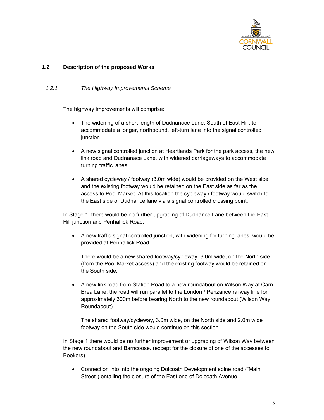

#### **1.2 Description of the proposed Works**

#### *1.2.1 The Highway Improvements Scheme*

The highway improvements will comprise:

- The widening of a short length of Dudnanace Lane, South of East Hill, to accommodate a longer, northbound, left-turn lane into the signal controlled junction.
- A new signal controlled junction at Heartlands Park for the park access, the new link road and Dudnanace Lane, with widened carriageways to accommodate turning traffic lanes.
- A shared cycleway / footway (3.0m wide) would be provided on the West side and the existing footway would be retained on the East side as far as the access to Pool Market. At this location the cycleway / footway would switch to the East side of Dudnance lane via a signal controlled crossing point.

In Stage 1, there would be no further upgrading of Dudnance Lane between the East Hill junction and Penhallick Road.

• A new traffic signal controlled junction, with widening for turning lanes, would be provided at Penhallick Road.

There would be a new shared footway/cycleway, 3.0m wide, on the North side (from the Pool Market access) and the existing footway would be retained on the South side.

• A new link road from Station Road to a new roundabout on Wilson Way at Carn Brea Lane; the road will run parallel to the London / Penzance railway line for approximately 300m before bearing North to the new roundabout (Wilson Way Roundabout).

The shared footway/cycleway, 3.0m wide, on the North side and 2.0m wide footway on the South side would continue on this section.

In Stage 1 there would be no further improvement or upgrading of Wilson Way between the new roundabout and Barncoose. (except for the closure of one of the accesses to Bookers)

• Connection into into the ongoing Dolcoath Development spine road ("Main Street") entailing the closure of the East end of Dolcoath Avenue.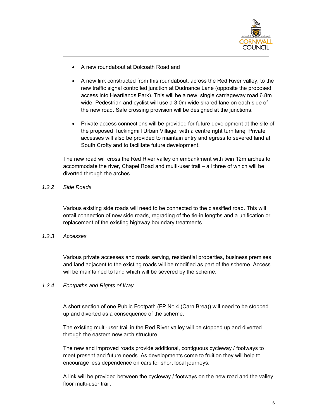

- A new roundabout at Dolcoath Road and
- A new link constructed from this roundabout, across the Red River valley, to the new traffic signal controlled junction at Dudnance Lane (opposite the proposed access into Heartlands Park). This will be a new, single carriageway road 6.8m wide. Pedestrian and cyclist will use a 3.0m wide shared lane on each side of the new road. Safe crossing provision will be designed at the junctions.
- Private access connections will be provided for future development at the site of the proposed Tuckingmill Urban Village, with a centre right turn lane. Private accesses will also be provided to maintain entry and egress to severed land at South Crofty and to facilitate future development.

The new road will cross the Red River valley on embankment with twin 12m arches to accommodate the river, Chapel Road and multi-user trail – all three of which will be diverted through the arches.

#### *1.2.2 Side Roads*

Various existing side roads will need to be connected to the classified road. This will entail connection of new side roads, regrading of the tie-in lengths and a unification or replacement of the existing highway boundary treatments.

#### *1.2.3 Accesses*

Various private accesses and roads serving, residential properties, business premises and land adjacent to the existing roads will be modified as part of the scheme. Access will be maintained to land which will be severed by the scheme.

#### *1.2.4 Footpaths and Rights of Way*

A short section of one Public Footpath (FP No.4 (Carn Brea)) will need to be stopped up and diverted as a consequence of the scheme.

The existing multi-user trail in the Red River valley will be stopped up and diverted through the eastern new arch structure.

The new and improved roads provide additional, contiguous cycleway / footways to meet present and future needs. As developments come to fruition they will help to encourage less dependence on cars for short local journeys.

A link will be provided between the cycleway / footways on the new road and the valley floor multi-user trail.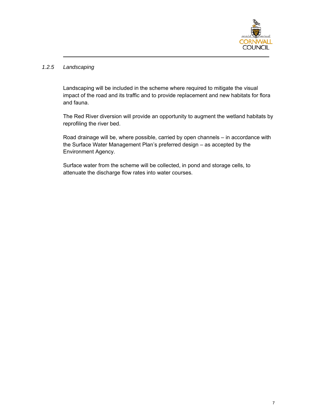

#### *1.2.5 Landscaping*

Landscaping will be included in the scheme where required to mitigate the visual impact of the road and its traffic and to provide replacement and new habitats for flora and fauna.

The Red River diversion will provide an opportunity to augment the wetland habitats by reprofiling the river bed.

Road drainage will be, where possible, carried by open channels – in accordance with the Surface Water Management Plan's preferred design – as accepted by the Environment Agency.

Surface water from the scheme will be collected, in pond and storage cells, to attenuate the discharge flow rates into water courses.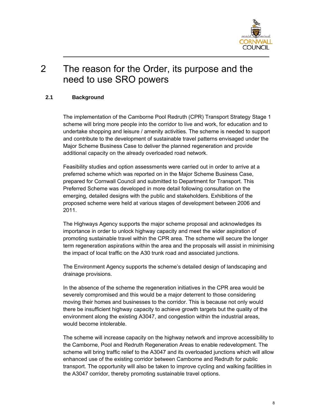

### 2 The reason for the Order, its purpose and the need to use SRO powers

#### **2.1 Background**

The implementation of the Camborne Pool Redruth (CPR) Transport Strategy Stage 1 scheme will bring more people into the corridor to live and work, for education and to undertake shopping and leisure / amenity activities. The scheme is needed to support and contribute to the development of sustainable travel patterns envisaged under the Major Scheme Business Case to deliver the planned regeneration and provide additional capacity on the already overloaded road network.

Feasibility studies and option assessments were carried out in order to arrive at a preferred scheme which was reported on in the Major Scheme Business Case, prepared for Cornwall Council and submitted to Department for Transport. This Preferred Scheme was developed in more detail following consultation on the emerging, detailed designs with the public and stakeholders. Exhibitions of the proposed scheme were held at various stages of development between 2006 and 2011.

The Highways Agency supports the major scheme proposal and acknowledges its importance in order to unlock highway capacity and meet the wider aspiration of promoting sustainable travel within the CPR area. The scheme will secure the longer term regeneration aspirations within the area and the proposals will assist in minimising the impact of local traffic on the A30 trunk road and associated junctions.

The Environment Agency supports the scheme's detailed design of landscaping and drainage provisions.

In the absence of the scheme the regeneration initiatives in the CPR area would be severely compromised and this would be a major deterrent to those considering moving their homes and businesses to the corridor. This is because not only would there be insufficient highway capacity to achieve growth targets but the quality of the environment along the existing A3047, and congestion within the industrial areas, would become intolerable.

The scheme will increase capacity on the highway network and improve accessibility to the Camborne, Pool and Redruth Regeneration Areas to enable redevelopment. The scheme will bring traffic relief to the A3047 and its overloaded junctions which will allow enhanced use of the existing corridor between Camborne and Redruth for public transport. The opportunity will also be taken to improve cycling and walking facilities in the A3047 corridor, thereby promoting sustainable travel options.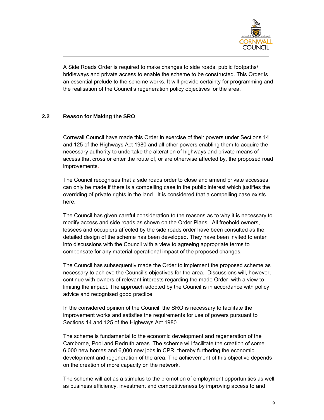

A Side Roads Order is required to make changes to side roads, public footpaths/ bridleways and private access to enable the scheme to be constructed. This Order is an essential prelude to the scheme works. It will provide certainty for programming and the realisation of the Council's regeneration policy objectives for the area.

#### **2.2 Reason for Making the SRO**

Cornwall Council have made this Order in exercise of their powers under Sections 14 and 125 of the Highways Act 1980 and all other powers enabling them to acquire the necessary authority to undertake the alteration of highways and private means of access that cross or enter the route of, or are otherwise affected by, the proposed road improvements.

The Council recognises that a side roads order to close and amend private accesses can only be made if there is a compelling case in the public interest which justifies the overriding of private rights in the land. It is considered that a compelling case exists here.

The Council has given careful consideration to the reasons as to why it is necessary to modify access and side roads as shown on the Order Plans. All freehold owners, lessees and occupiers affected by the side roads order have been consulted as the detailed design of the scheme has been developed. They have been invited to enter into discussions with the Council with a view to agreeing appropriate terms to compensate for any material operational impact of the proposed changes.

The Council has subsequently made the Order to implement the proposed scheme as necessary to achieve the Council's objectives for the area. Discussions will, however, continue with owners of relevant interests regarding the made Order, with a view to limiting the impact. The approach adopted by the Council is in accordance with policy advice and recognised good practice.

In the considered opinion of the Council, the SRO is necessary to facilitate the improvement works and satisfies the requirements for use of powers pursuant to Sections 14 and 125 of the Highways Act 1980

The scheme is fundamental to the economic development and regeneration of the Camborne, Pool and Redruth areas. The scheme will facilitate the creation of some 6,000 new homes and 6,000 new jobs in CPR, thereby furthering the economic development and regeneration of the area. The achievement of this objective depends on the creation of more capacity on the network.

The scheme will act as a stimulus to the promotion of employment opportunities as well as business efficiency, investment and competitiveness by improving access to and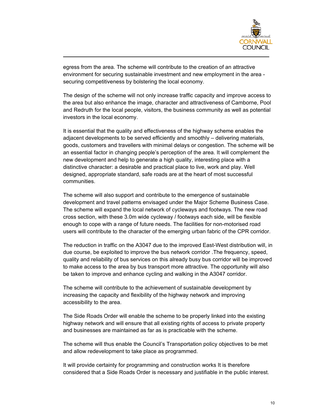

egress from the area. The scheme will contribute to the creation of an attractive environment for securing sustainable investment and new employment in the area securing competitiveness by bolstering the local economy.

The design of the scheme will not only increase traffic capacity and improve access to the area but also enhance the image, character and attractiveness of Camborne, Pool and Redruth for the local people, visitors, the business community as well as potential investors in the local economy.

It is essential that the quality and effectiveness of the highway scheme enables the adjacent developments to be served efficiently and smoothly – delivering materials, goods, customers and travellers with minimal delays or congestion. The scheme will be an essential factor in changing people's perception of the area. It will complement the new development and help to generate a high quality, interesting place with a distinctive character: a desirable and practical place to live, work and play. Well designed, appropriate standard, safe roads are at the heart of most successful communities.

The scheme will also support and contribute to the emergence of sustainable development and travel patterns envisaged under the Major Scheme Business Case. The scheme will expand the local network of cycleways and footways. The new road cross section, with these 3.0m wide cycleway / footways each side, will be flexible enough to cope with a range of future needs. The facilities for non-motorised road users will contribute to the character of the emerging urban fabric of the CPR corridor.

The reduction in traffic on the A3047 due to the improved East-West distribution will, in due course, be exploited to improve the bus network corridor .The frequency, speed, quality and reliability of bus services on this already busy bus corridor will be improved to make access to the area by bus transport more attractive. The opportunity will also be taken to improve and enhance cycling and walking in the A3047 corridor.

The scheme will contribute to the achievement of sustainable development by increasing the capacity and flexibility of the highway network and improving accessibility to the area.

The Side Roads Order will enable the scheme to be properly linked into the existing highway network and will ensure that all existing rights of access to private property and businesses are maintained as far as is practicable with the scheme.

The scheme will thus enable the Council's Transportation policy objectives to be met and allow redevelopment to take place as programmed.

It will provide certainty for programming and construction works It is therefore considered that a Side Roads Order is necessary and justifiable in the public interest.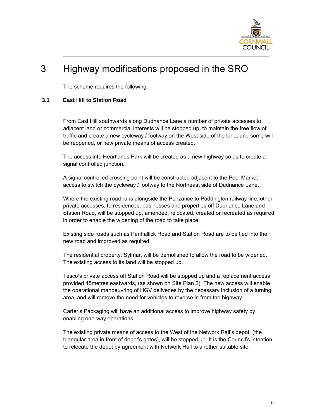

## 3 Highway modifications proposed in the SRO

The scheme requires the following:

#### **3.1 East Hill to Station Road**

From East Hill southwards along Dudnance Lane a number of private accesses to adjacent land or commercial interests will be stopped up, to maintain the free flow of traffic and create a new cycleway / footway on the West side of the lane, and some will be reopened, or new private means of access created.

The access into Heartlands Park will be created as a new highway so as to create a signal controlled junction.

A signal controlled crossing point will be constructed adjacent to the Pool Market access to switch the cycleway / footway to the Northeast side of Dudnance Lane.

Where the existing road runs alongside the Penzance to Paddington railway line, other private accesses, to residences, businesses and properties off Dudnance Lane and Station Road, will be stopped up, amended, relocated, created or recreated as required in order to enable the widening of the road to take place.

Existing side roads such as Penhallick Road and Station Road are to be tied into the new road and improved as required.

The residential property, Sylmar, will be demolished to allow the road to be widened. The existing access to its land will be stopped up.

Tesco's private access off Station Road will be stopped up and a replacement access provided 45metres eastwards, (as shown on Site Plan 2). The new access will enable the operational manoeuvring of HGV deliveries by the necessary inclusion of a turning area, and will remove the need for vehicles to reverse in from the highway

Carter's Packaging will have an additional access to improve highway safety by enabling one-way operations.

The existing private means of access to the West of the Network Rail's depot, (the triangular area in front of depot's gates), will be stopped up. It is the Council's intention to relocate the depot by agreement with Network Rail to another suitable site.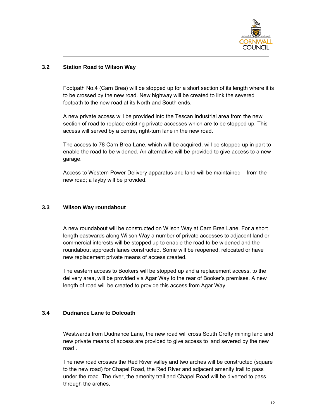

#### **3.2 Station Road to Wilson Way**

Footpath No.4 (Carn Brea) will be stopped up for a short section of its length where it is to be crossed by the new road. New highway will be created to link the severed footpath to the new road at its North and South ends.

A new private access will be provided into the Tescan Industrial area from the new section of road to replace existing private accesses which are to be stopped up. This access will served by a centre, right-turn lane in the new road.

The access to 78 Carn Brea Lane, which will be acquired, will be stopped up in part to enable the road to be widened. An alternative will be provided to give access to a new garage.

Access to Western Power Delivery apparatus and land will be maintained – from the new road; a layby will be provided.

#### **3.3 Wilson Way roundabout**

A new roundabout will be constructed on Wilson Way at Carn Brea Lane. For a short length eastwards along Wilson Way a number of private accesses to adjacent land or commercial interests will be stopped up to enable the road to be widened and the roundabout approach lanes constructed. Some will be reopened, relocated or have new replacement private means of access created.

The eastern access to Bookers will be stopped up and a replacement access, to the delivery area, will be provided via Agar Way to the rear of Booker's premises. A new length of road will be created to provide this access from Agar Way.

#### **3.4 Dudnance Lane to Dolcoath**

Westwards from Dudnance Lane, the new road will cross South Crofty mining land and new private means of access are provided to give access to land severed by the new road .

The new road crosses the Red River valley and two arches will be constructed (square to the new road) for Chapel Road, the Red River and adjacent amenity trail to pass under the road. The river, the amenity trail and Chapel Road will be diverted to pass through the arches.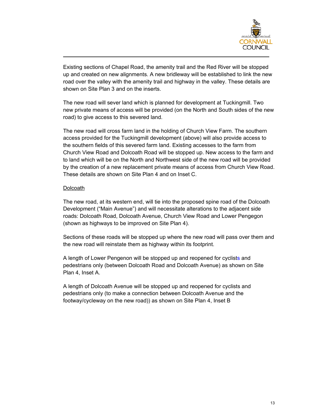

Existing sections of Chapel Road, the amenity trail and the Red River will be stopped up and created on new alignments. A new bridleway will be established to link the new road over the valley with the amenity trail and highway in the valley. These details are shown on Site Plan 3 and on the inserts.

The new road will sever land which is planned for development at Tuckingmill. Two new private means of access will be provided (on the North and South sides of the new road) to give access to this severed land.

The new road will cross farm land in the holding of Church View Farm. The southern access provided for the Tuckingmill development (above) will also provide access to the southern fields of this severed farm land. Existing accesses to the farm from Church View Road and Dolcoath Road will be stopped up. New access to the farm and to land which will be on the North and Northwest side of the new road will be provided by the creation of a new replacement private means of access from Church View Road. These details are shown on Site Plan 4 and on Inset C.

#### Dolcoath

The new road, at its western end, will tie into the proposed spine road of the Dolcoath Development ("Main Avenue") and will necessitate alterations to the adjacent side roads: Dolcoath Road, Dolcoath Avenue, Church View Road and Lower Pengegon (shown as highways to be improved on Site Plan 4).

Sections of these roads will be stopped up where the new road will pass over them and the new road will reinstate them as highway within its footprint.

A length of Lower Pengenon will be stopped up and reopened for cyclists and pedestrians only (between Dolcoath Road and Dolcoath Avenue) as shown on Site Plan 4, Inset A.

A length of Dolcoath Avenue will be stopped up and reopened for cyclists and pedestrians only (to make a connection between Dolcoath Avenue and the footway/cycleway on the new road)) as shown on Site Plan 4, Inset B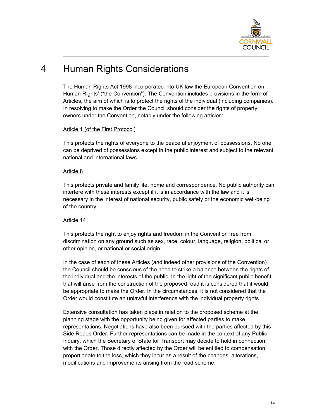

# 4 Human Rights Considerations

The Human Rights Act 1998 incorporated into UK law the European Convention on Human Rights' ("the Convention"). The Convention includes provisions in the form of Articles, the aim of which is to protect the rights of the individual (including companies). In resolving to make the Order the Council should consider the rights of property owners under the Convention, notably under the following articles:

#### Article 1 (of the First Protocol)

This protects the rights of everyone to the peaceful enjoyment of possessions. No one can be deprived of possessions except in the public interest and subject to the relevant national and international laws.

#### Article 8

This protects private and family life, home and correspondence. No public authority can interfere with these interests except if it is in accordance with the law and it is necessary in the interest of national security, public safety or the economic well-being of the country.

#### Article 14

This protects the right to enjoy rights and freedom in the Convention free from discrimination on any ground such as sex, race, colour, language, religion, political or other opinion, or national or social origin.

In the case of each of these Articles (and indeed other provisions of the Convention) the Council should be conscious of the need to strike a balance between the rights of the individual and the interests of the public. In the light of the significant public benefit that will arise from the construction of the proposed road it is considered that it would be appropriate to make the Order. In the circumstances, it is not considered that the Order would constitute an unlawful interference with the individual property rights.

Extensive consultation has taken place in relation to the proposed scheme at the planning stage with the opportunity being given for affected parties to make representations. Negotiations have also been pursued with the parties affected by this Side Roads Order. Further representations can be made in the context of any Public Inquiry, which the Secretary of State for Transport may decide to hold in connection with the Order. Those directly affected by the Order will be entitled to compensation proportionate to the loss, which they incur as a result of the changes, alterations, modifications and improvements arising from the road scheme.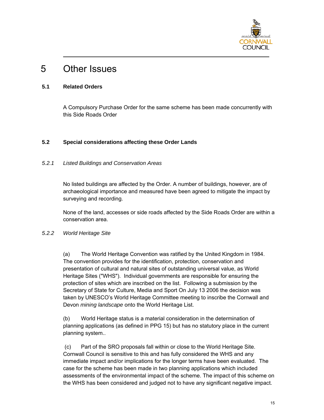

### 5 Other Issues

#### **5.1 Related Orders**

A Compulsory Purchase Order for the same scheme has been made concurrently with this Side Roads Order

#### **5.2 Special considerations affecting these Order Lands**

#### *5.2.1 Listed Buildings and Conservation Areas*

No listed buildings are affected by the Order. A number of buildings, however, are of archaeological importance and measured have been agreed to mitigate the impact by surveying and recording.

None of the land, accesses or side roads affected by the Side Roads Order are within a conservation area.

#### *5.2.2 World Heritage Site*

(a) The World Heritage Convention was ratified by the United Kingdom in 1984. The convention provides for the identification, protection, conservation and presentation of cultural and natural sites of outstanding universal value, as World Heritage Sites ("WHS"). Individual governments are responsible for ensuring the protection of sites which are inscribed on the list. Following a submission by the Secretary of State for Culture, Media and Sport On July 13 2006 the decision was taken by UNESCO's World Heritage Committee meeting to inscribe the Cornwall and Devon *mining landscape* onto the World Heritage List.

(b) World Heritage status is a material consideration in the determination of planning applications (as defined in PPG 15) but has no statutory place in the current planning system..

 (c) Part of the SRO proposals fall within or close to the World Heritage Site. Cornwall Council is sensitive to this and has fully considered the WHS and any immediate impact and/or implications for the longer terms have been evaluated. The case for the scheme has been made in two planning applications which included assessments of the environmental impact of the scheme. The impact of this scheme on the WHS has been considered and judged not to have any significant negative impact.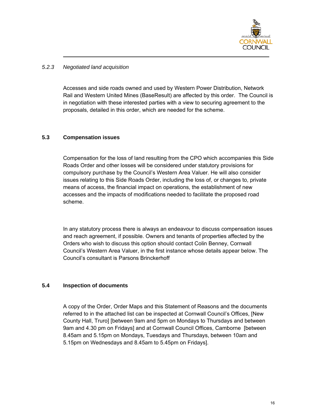

#### *5.2.3 Negotiated land acquisition*

Accesses and side roads owned and used by Western Power Distribution, Network Rail and Western United Mines (BaseResult) are affected by this order. The Council is in negotiation with these interested parties with a view to securing agreement to the proposals, detailed in this order, which are needed for the scheme.

#### **5.3 Compensation issues**

Compensation for the loss of land resulting from the CPO which accompanies this Side Roads Order and other losses will be considered under statutory provisions for compulsory purchase by the Council's Western Area Valuer. He will also consider issues relating to this Side Roads Order, including the loss of, or changes to, private means of access, the financial impact on operations, the establishment of new accesses and the impacts of modifications needed to facilitate the proposed road scheme.

In any statutory process there is always an endeavour to discuss compensation issues and reach agreement, if possible. Owners and tenants of properties affected by the Orders who wish to discuss this option should contact Colin Benney, Cornwall Council's Western Area Valuer, in the first instance whose details appear below. The Council's consultant is Parsons Brinckerhoff

#### **5.4 Inspection of documents**

A copy of the Order, Order Maps and this Statement of Reasons and the documents referred to in the attached list can be inspected at Cornwall Council's Offices, [New County Hall, Truro] [between 9am and 5pm on Mondays to Thursdays and between 9am and 4.30 pm on Fridays] and at Cornwall Council Offices, Camborne [between 8.45am and 5.15pm on Mondays, Tuesdays and Thursdays, between 10am and 5.15pm on Wednesdays and 8.45am to 5.45pm on Fridays].